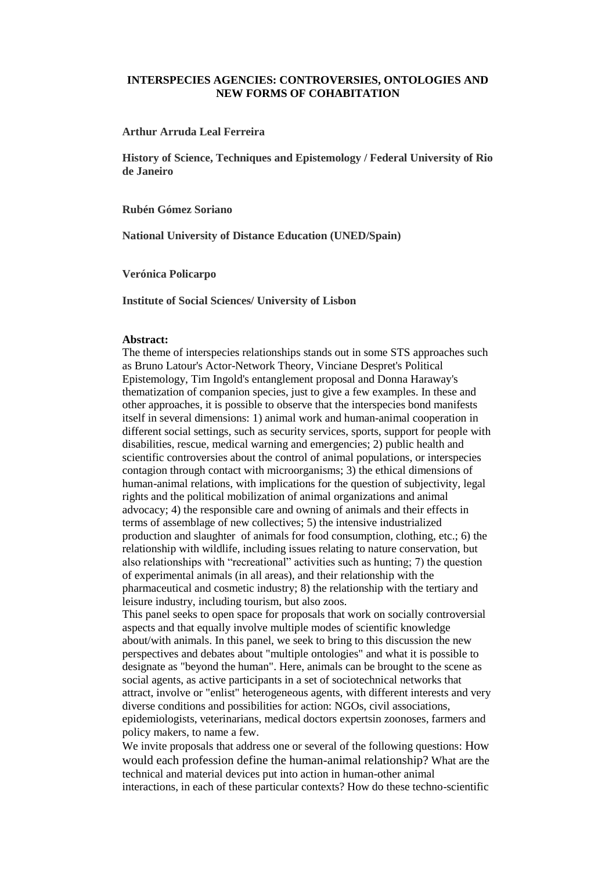## **INTERSPECIES AGENCIES: CONTROVERSIES, ONTOLOGIES AND NEW FORMS OF COHABITATION**

### **Arthur Arruda Leal Ferreira**

**History of Science, Techniques and Epistemology / Federal University of Rio de Janeiro**

### **Rubén Gómez Soriano**

**National University of Distance Education (UNED/Spain)**

**Verónica Policarpo**

**Institute of Social Sciences/ University of Lisbon**

#### **Abstract:**

The theme of interspecies relationships stands out in some STS approaches such as Bruno Latour's Actor-Network Theory, Vinciane Despret's Political Epistemology, Tim Ingold's entanglement proposal and Donna Haraway's thematization of companion species, just to give a few examples. In these and other approaches, it is possible to observe that the interspecies bond manifests itself in several dimensions: 1) animal work and human-animal cooperation in different social settings, such as security services, sports, support for people with disabilities, rescue, medical warning and emergencies; 2) public health and scientific controversies about the control of animal populations, or interspecies contagion through contact with microorganisms; 3) the ethical dimensions of human-animal relations, with implications for the question of subjectivity, legal rights and the political mobilization of animal organizations and animal advocacy; 4) the responsible care and owning of animals and their effects in terms of assemblage of new collectives; 5) the intensive industrialized production and slaughter of animals for food consumption, clothing, etc.; 6) the relationship with wildlife, including issues relating to nature conservation, but also relationships with "recreational" activities such as hunting; 7) the question of experimental animals (in all areas), and their relationship with the pharmaceutical and cosmetic industry; 8) the relationship with the tertiary and leisure industry, including tourism, but also zoos.

This panel seeks to open space for proposals that work on socially controversial aspects and that equally involve multiple modes of scientific knowledge about/with animals. In this panel, we seek to bring to this discussion the new perspectives and debates about "multiple ontologies" and what it is possible to designate as "beyond the human". Here, animals can be brought to the scene as social agents, as active participants in a set of sociotechnical networks that attract, involve or "enlist" heterogeneous agents, with different interests and very diverse conditions and possibilities for action: NGOs, civil associations, epidemiologists, veterinarians, medical doctors expertsin zoonoses, farmers and policy makers, to name a few.

We invite proposals that address one or several of the following questions: How would each profession define the human-animal relationship? What are the technical and material devices put into action in human-other animal interactions, in each of these particular contexts? How do these techno-scientific